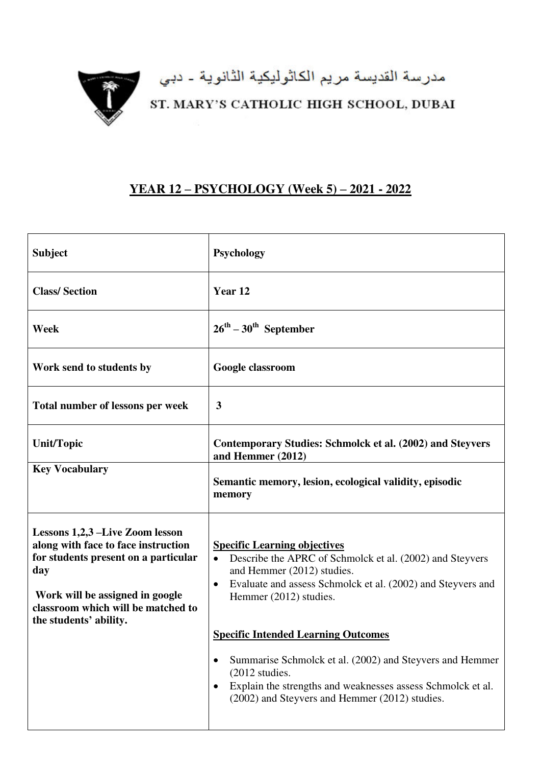

## مدرسة القديسة مريم الكاثوليكية الثانوية ـ دبي<br>ST. MARY'S CATHOLIC HIGH SCHOOL, DUBAI

## **YEAR 12 – PSYCHOLOGY (Week 5) – 2021 - 2022**

| <b>Subject</b>                                                                                                                                                                                                           | <b>Psychology</b>                                                                                                                                                                                                                                                                                                                                                            |
|--------------------------------------------------------------------------------------------------------------------------------------------------------------------------------------------------------------------------|------------------------------------------------------------------------------------------------------------------------------------------------------------------------------------------------------------------------------------------------------------------------------------------------------------------------------------------------------------------------------|
| <b>Class/Section</b>                                                                                                                                                                                                     | Year 12                                                                                                                                                                                                                                                                                                                                                                      |
| Week                                                                                                                                                                                                                     | $26^{\text{th}} - 30^{\text{th}}$ September                                                                                                                                                                                                                                                                                                                                  |
| Work send to students by                                                                                                                                                                                                 | Google classroom                                                                                                                                                                                                                                                                                                                                                             |
| Total number of lessons per week                                                                                                                                                                                         | $\mathbf{3}$                                                                                                                                                                                                                                                                                                                                                                 |
| <b>Unit/Topic</b>                                                                                                                                                                                                        | Contemporary Studies: Schmolck et al. (2002) and Steyvers<br>and Hemmer (2012)                                                                                                                                                                                                                                                                                               |
| <b>Key Vocabulary</b>                                                                                                                                                                                                    | Semantic memory, lesion, ecological validity, episodic<br>memory                                                                                                                                                                                                                                                                                                             |
| Lessons 1,2,3 –Live Zoom lesson<br>along with face to face instruction<br>for students present on a particular<br>day<br>Work will be assigned in google<br>classroom which will be matched to<br>the students' ability. | <b>Specific Learning objectives</b><br>Describe the APRC of Schmolck et al. (2002) and Steyvers<br>$\bullet$<br>and Hemmer (2012) studies.<br>Evaluate and assess Schmolck et al. (2002) and Steyvers and<br>$\bullet$<br>Hemmer (2012) studies.<br><b>Specific Intended Learning Outcomes</b><br>Summarise Schmolck et al. (2002) and Steyvers and Hemmer<br>(2012 studies. |
|                                                                                                                                                                                                                          | Explain the strengths and weaknesses assess Schmolck et al.<br>(2002) and Steyvers and Hemmer (2012) studies.                                                                                                                                                                                                                                                                |